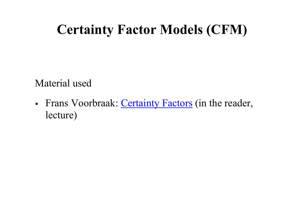# **Certainty Factor Models (CFM)**

Material used

• Frans Voorbraak: Certainty Factors (in the reader, lecture)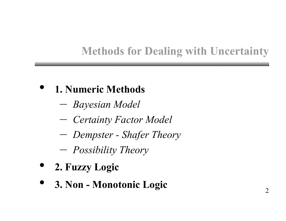# **Methods for Dealing with Uncertainty**

• **1. Numeric Methods** 

- *Bayesian Model*
- *Certainty Factor Model*
- *Dempster Shafer Theory*
- *Possibility Theory*
- **2. Fuzzy Logic**
- **3. Non Monotonic Logic**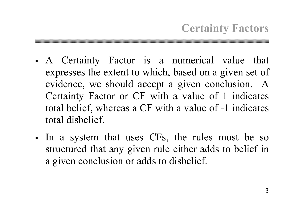- A Certainty Factor is a numerical value that expresses the extent to which, based on a given set of evidence, we should accept a given conclusion. A Certainty Factor or CF with a value of 1 indicates total belief, whereas a CF with a value of -1 indicates total disbelief.
- In a system that uses CFs, the rules must be so structured that any given rule either adds to belief in a given conclusion or adds to disbelief.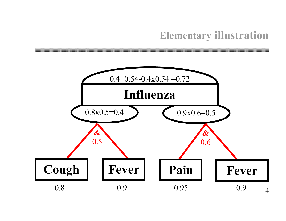#### **Elementary illustration**

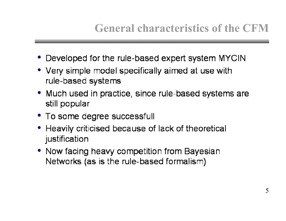# **General characteristics of the CFM**

- Developed for the rule-based expert system MYCIN
- Very simple model specifically aimed at use with rule-based systems
- Much used in practice, since rule-based systems are still popular
- To some degree successfull
- Heavily criticised because of lack of theoretical justification
- Now facing heavy competition from Bayesian Networks (as is the rule-based formalism)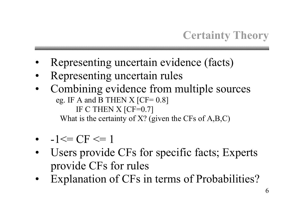# **Certainty Theory**

- Representing uncertain evidence (facts)
- Representing uncertain rules
- Combining evidence from multiple sources eg. IF A and B THEN  $X$  [CF= 0.8] IF C THEN X [CF=0.7] What is the certainty of  $X$ ? (given the CFs of  $A, B, C$ )

- $-1 \le C_F \le 1$
- Users provide CFs for specific facts; Experts provide CFs for rules
- Explanation of CFs in terms of Probabilities?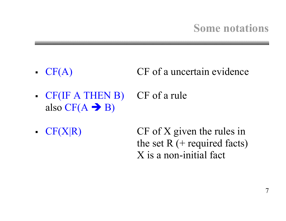#### **Some notations**

- $CF(A)$  CF of a uncertain evidence
- CF(IF A THEN B) CF of a rule also  $CF(A \rightarrow B)$
- CF(X|R) CF of X given the rules in the set  $R$  (+ required facts) X is a non-initial fact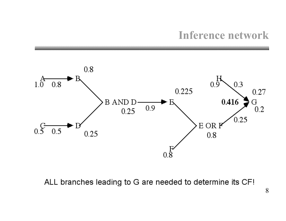#### **Inference network**



ALL branches leading to G are needed to determine its CF!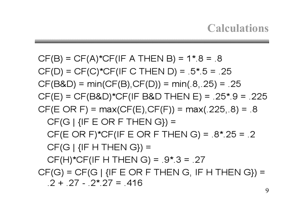$CF(B) = CF(A)*CF(IF A THEN B) = 1*.8 = .8$  $CF(D) = CF(C)*CF(IF C THEN D) = .5*.5 = .25$  $CF(B&D) = min(CF(B), CF(D)) = min(.8,.25) = .25$  $CF(E) = CF(B&D)*CF(IF B&D THEN E) = .25*.9 = .225$  $CF(E \t{OR F}) = max(CF(E), CF(F)) = max(.225, .8) = .8$  $CF(G | {IF E OR F THEN G}) =$ CF(E OR F)\*CF(IF E OR F THEN G) =  $.8$ \* 25 = .2  $CF(G | {IF H THEN G}) =$  $CF(H)$ \*CF(IF H THEN G) = .9\*.3 = .27  $CF(G) = CF(G | {IF E OR F THEN G, IF H THEN G}) =$  $2 + 27 - 2 \times 27 = 416$ 

**Calculations**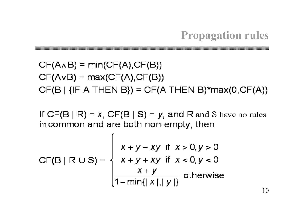## **Propagation rules**

$$
CF(A \land B) = min(CF(A), CF(B))
$$
  
CF(A \lor B) = max(CF(A), CF(B))  
CF(B | {IF A THEN B}) = CF(A THEN B)\*max(0, CF(A))

If  $CF(B | R) = x$ ,  $CF(B | S) = y$ , and R and S have no rules in common and are both non-empty, then

$$
CF(B | R \cup S) = \begin{cases} x+y-xy & \text{if } x > 0, y > 0 \\ x+y+xy & \text{if } x < 0, y < 0 \\ \frac{x+y}{1-\min\{|x|,|y|\}} & \text{otherwise} \end{cases}
$$

r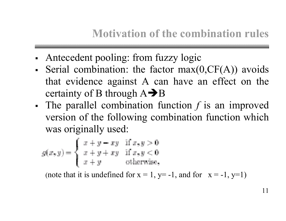#### **Motivation of the combination rules**

• Antecedent pooling: from fuzzy logic

- Serial combination: the factor  $max(0, CF(A))$  avoids that evidence against A can have an effect on the certainty of B through  $A \rightarrow B$
- The parallel combination function *f* is an improved version of the following combination function which was originally used:

$$
g(x, y) = \begin{cases} x + y - xy & \text{if } x, y > 0 \\ x + y + xy & \text{if } x, y < 0 \\ x + y & \text{otherwise,} \end{cases}
$$

(note that it is undefined for  $x = 1$ ,  $y=-1$ , and for  $x = -1$ ,  $y=1$ )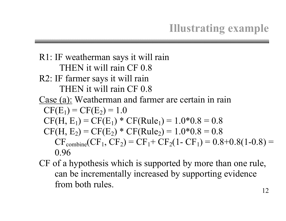## **Illustrating example**

R1: IF weatherman says it will rain THEN it will rain CF 0.8 R2: IF farmer says it will rain THEN it will rain CF 0.8 Case (a): Weatherman and farmer are certain in rain  $CF(E_1) = CF(E_2) = 1.0$  $CF(H, E_1) = CF(E_1) * CF(Rule_1) = 1.0 * 0.8 = 0.8$  $CF(H, E_2) = CF(E_2) * CF(Rule_2) = 1.0 * 0.8 = 0.8$  $CF_{\text{combine}}(CF_1, CF_2) = CF_1 + CF_2(1 - CF_1) = 0.8 + 0.8(1 - 0.8) =$ 0.96

CF of a hypothesis which is supported by more than one rule, can be incrementally increased by supporting evidence from both rules.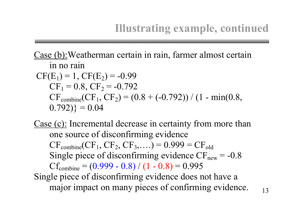#### **Illustrating example, continued**

Case (b):Weatherman certain in rain, farmer almost certain in no rain  $CF(E_1) = 1, CF(E_2) = -0.99$  $CF_1 = 0.8$ ,  $CF_2 = -0.792$  $CF_{\text{combine}}(CF_1, CF_2) = (0.8 + (-0.792)) / (1 - \min(0.8,$  $(0.792)$ } = 0.04

Case (c): Incremental decrease in certainty from more than one source of disconfirming evidence  $CF_{\text{combine}}(CF_1, CF_2, CF_3, \ldots) = 0.999 = CF_{\text{old}}$ Single piece of disconfirming evidence  $CF<sub>new</sub> = -0.8$  $Cf_{combine} = (0.999 - 0.8) / (1 - 0.8) = 0.995$ Single piece of disconfirming evidence does not have a major impact on many pieces of confirming evidence.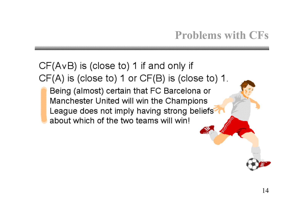## **Problems with CFs**

#### $CF(AvB)$  is (close to) 1 if and only if  $CF(A)$  is (close to) 1 or  $CF(B)$  is (close to) 1.

Being (almost) certain that FC Barcelona or Manchester United will win the Champions League does not imply having strong beliefs about which of the two teams will win!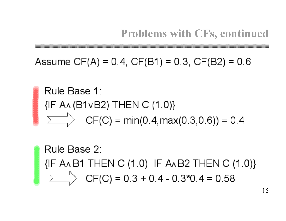Assume CF(A) = 0.4, CF(B1) = 0.3, CF(B2) = 0.6

Rule Base 1: {IF A^ (B1vB2) THEN C (1.0)}  $\overrightarrow{\sum}$  CF(C) = min(0.4, max(0.3, 0.6)) = 0.4

Rule Base 2: {IF A AB1 THEN C (1.0), IF A AB2 THEN C (1.0)}  $\sum$  CF(C) = 0.3 + 0.4 - 0.3\*0.4 = 0.58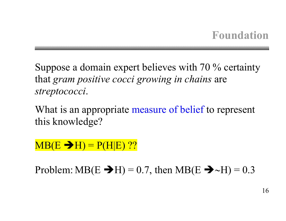Suppose a domain expert believes with 70 % certainty that *gram positive cocci growing in chains* are *streptococci*.

What is an appropriate measure of belief to represent this knowledge?

 $MB(E \rightarrow H) = P(H|E)$  ??

Problem: MB(E  $\rightarrow$ H) = 0.7, then MB(E  $\rightarrow \sim$ H) = 0.3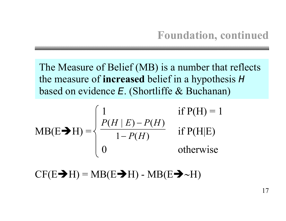The Measure of Belief (MB) is a number that reflects the measure of **increased** belief in a hypothesis <sup>H</sup> based on evidence E. (Shortliffe & Buchanan)

$$
MB(E \blacktriangleright H) = \begin{cases} 1 & \text{if } P(H) = 1 \\ \frac{P(H \mid E) - P(H)}{1 - P(H)} & \text{if } P(H \mid E) \\ 0 & \text{otherwise} \end{cases}
$$

 $CF(E\rightarrow H) = MB(E\rightarrow H) - MB(E\rightarrow \sim H)$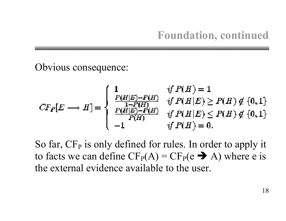Obvious consequence:

$$
CF_P[E \longrightarrow H] = \begin{cases} 1 & \text{if } P(H) = 1 \\ \frac{P(H|E) - P(H)}{1 - P(H)} & \text{if } P(H|E) \ge P(H) \notin \{0, 1\} \\ \frac{P(H|E) - P(H)}{P(H)} & \text{if } P(H|E) \le P(H) \notin \{0, 1\} \\ -1 & \text{if } P(H) = 0. \end{cases}
$$

So far, CF<sub>P</sub> is only defined for rules. In order to apply it to facts we can define  $CF_P(A) = CF_P(e \rightarrow A)$  where e is the external evidence available to the user.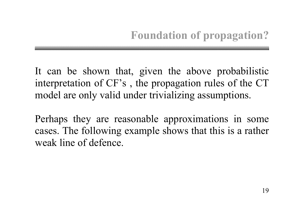It can be shown that, given the above probabilistic interpretation of CF's , the propagation rules of the CT model are only valid under trivializing assumptions.

Perhaps they are reasonable approximations in some cases. The following example shows that this is a rather weak line of defence.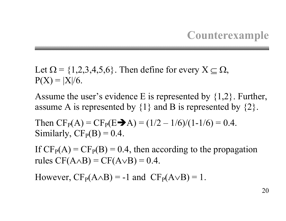#### **Counterexample**

Let  $\Omega = \{1,2,3,4,5,6\}$ . Then define for every  $X \subseteq \Omega$ ,  $P(X) = |X|/6.$ 

Assume the user's evidence E is represented by {1,2}. Further, assume A is represented by  $\{1\}$  and B is represented by  $\{2\}$ .

Then  $CF_P(A) = CF_P(E \rightarrow A) = (1/2 - 1/6)/(1-1/6) = 0.4$ . Similarly,  $CF<sub>P</sub>(B) = 0.4$ .

If  $CF<sub>P</sub>(A) = CF<sub>P</sub>(B) = 0.4$ , then according to the propagation rules  $CF(A \wedge B) = CF(A \vee B) = 0.4$ .

However,  $CF_P(A \wedge B) = -1$  and  $CF_P(A \vee B) = 1$ .